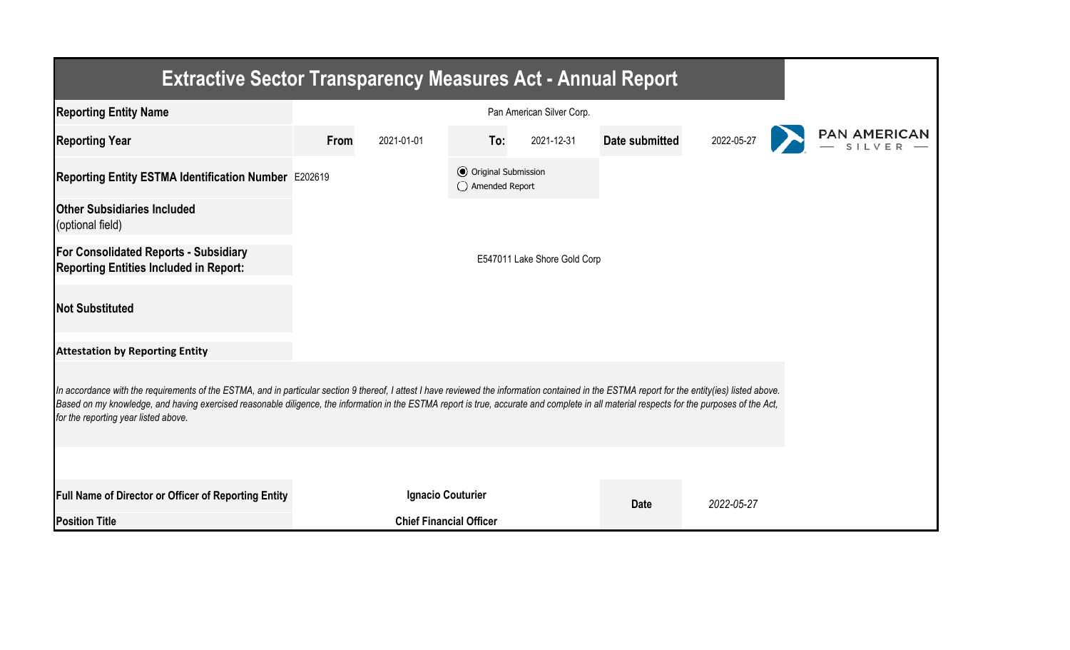| <b>Extractive Sector Transparency Measures Act - Annual Report</b>                                                                                                                                                                                                                                                                                                                                                                    |      |                                |                                                  |                              |                |            |  |  |  |  |  |
|---------------------------------------------------------------------------------------------------------------------------------------------------------------------------------------------------------------------------------------------------------------------------------------------------------------------------------------------------------------------------------------------------------------------------------------|------|--------------------------------|--------------------------------------------------|------------------------------|----------------|------------|--|--|--|--|--|
| <b>Reporting Entity Name</b>                                                                                                                                                                                                                                                                                                                                                                                                          |      |                                |                                                  |                              |                |            |  |  |  |  |  |
| <b>Reporting Year</b>                                                                                                                                                                                                                                                                                                                                                                                                                 | From | 2021-01-01                     | To:                                              | 2021-12-31                   | Date submitted | 2022-05-27 |  |  |  |  |  |
| Reporting Entity ESTMA Identification Number E202619                                                                                                                                                                                                                                                                                                                                                                                  |      |                                | <b>⊙</b> Original Submission<br>◯ Amended Report |                              |                |            |  |  |  |  |  |
| <b>Other Subsidiaries Included</b><br>(optional field)                                                                                                                                                                                                                                                                                                                                                                                |      |                                |                                                  |                              |                |            |  |  |  |  |  |
| <b>For Consolidated Reports - Subsidiary</b><br><b>Reporting Entities Included in Report:</b>                                                                                                                                                                                                                                                                                                                                         |      |                                |                                                  | E547011 Lake Shore Gold Corp |                |            |  |  |  |  |  |
| <b>Not Substituted</b>                                                                                                                                                                                                                                                                                                                                                                                                                |      |                                |                                                  |                              |                |            |  |  |  |  |  |
| <b>Attestation by Reporting Entity</b>                                                                                                                                                                                                                                                                                                                                                                                                |      |                                |                                                  |                              |                |            |  |  |  |  |  |
| In accordance with the requirements of the ESTMA, and in particular section 9 thereof, I attest I have reviewed the information contained in the ESTMA report for the entity(ies) listed above.<br>Based on my knowledge, and having exercised reasonable diligence, the information in the ESTMA report is true, accurate and complete in all material respects for the purposes of the Act,<br>for the reporting year listed above. |      |                                |                                                  |                              |                |            |  |  |  |  |  |
|                                                                                                                                                                                                                                                                                                                                                                                                                                       |      |                                |                                                  |                              |                |            |  |  |  |  |  |
| <b>Full Name of Director or Officer of Reporting Entity</b>                                                                                                                                                                                                                                                                                                                                                                           |      | <b>Ignacio Couturier</b>       |                                                  |                              | <b>Date</b>    | 2022-05-27 |  |  |  |  |  |
| <b>Position Title</b>                                                                                                                                                                                                                                                                                                                                                                                                                 |      | <b>Chief Financial Officer</b> |                                                  |                              |                |            |  |  |  |  |  |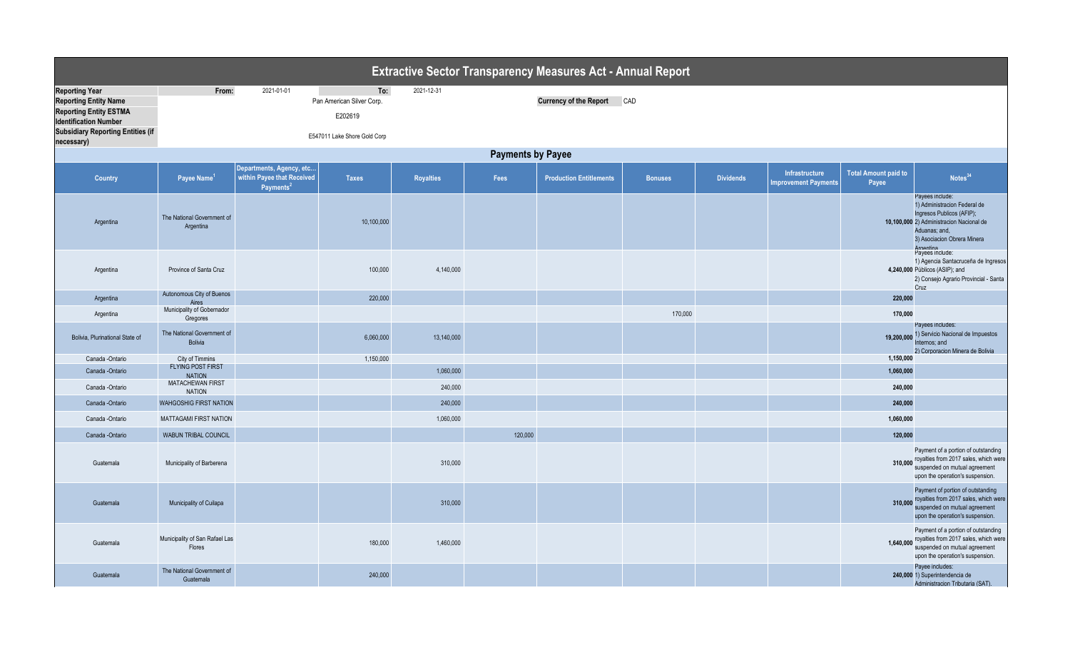|                                                                                                                                                                    |                                              |                                                                                 |                                             |            |                          | <b>Extractive Sector Transparency Measures Act - Annual Report</b> |                |                  |                                               |                                      |                                                                                                                                                                                       |
|--------------------------------------------------------------------------------------------------------------------------------------------------------------------|----------------------------------------------|---------------------------------------------------------------------------------|---------------------------------------------|------------|--------------------------|--------------------------------------------------------------------|----------------|------------------|-----------------------------------------------|--------------------------------------|---------------------------------------------------------------------------------------------------------------------------------------------------------------------------------------|
| <b>Reporting Year</b><br><b>Reporting Entity Name</b><br><b>Reporting Entity ESTMA</b><br><b>Identification Number</b><br><b>Subsidiary Reporting Entities (if</b> | From:                                        | 2021-01-01                                                                      | To:<br>Pan American Silver Corp.<br>E202619 | 2021-12-31 |                          | <b>Currency of the Report</b>                                      | CAD            |                  |                                               |                                      |                                                                                                                                                                                       |
| necessary)                                                                                                                                                         |                                              |                                                                                 | E547011 Lake Shore Gold Corp                |            |                          |                                                                    |                |                  |                                               |                                      |                                                                                                                                                                                       |
|                                                                                                                                                                    |                                              |                                                                                 |                                             |            | <b>Payments by Payee</b> |                                                                    |                |                  |                                               |                                      |                                                                                                                                                                                       |
| <b>Country</b>                                                                                                                                                     | Payee Name <sup>1</sup>                      | Departments, Agency, etc<br>within Payee that Received<br>Payments <sup>2</sup> | <b>Taxes</b>                                | Royalties  | Fees                     | <b>Production Entitlements</b>                                     | <b>Bonuses</b> | <b>Dividends</b> | Infrastructure<br><b>Improvement Payments</b> | <b>Total Amount paid to</b><br>Payee | Notes <sup>34</sup>                                                                                                                                                                   |
| Argentina                                                                                                                                                          | The National Government of<br>Argentina      |                                                                                 | 10,100,000                                  |            |                          |                                                                    |                |                  |                                               |                                      | Payees include:<br>1) Administracion Federal de<br>Ingresos Publicos (AFIP);<br>10,100,000 2) Administracion Nacional de<br>Aduanas; and,<br>3) Asociacion Obrera Minera<br>Argentina |
| Argentina                                                                                                                                                          | Province of Santa Cruz                       |                                                                                 | 100,000                                     | 4,140,000  |                          |                                                                    |                |                  |                                               |                                      | Payees include:<br>1) Agencia Santacruceña de Ingresos<br>4,240,000 Públicos (ASIP); and<br>2) Consejo Agrario Provincial - Santa<br>Cruz                                             |
| Argentina                                                                                                                                                          | Autonomous City of Buenos<br>Aires           |                                                                                 | 220,000                                     |            |                          |                                                                    |                |                  |                                               | 220,000                              |                                                                                                                                                                                       |
| Argentina                                                                                                                                                          | Municipality of Gobernador<br>Gregores       |                                                                                 |                                             |            |                          |                                                                    | 170,000        |                  |                                               | 170,000                              |                                                                                                                                                                                       |
| Bolivia. Plurinational State of                                                                                                                                    | The National Government of<br><b>Bolivia</b> |                                                                                 | 6,060,000                                   | 13,140,000 |                          |                                                                    |                |                  |                                               | 19,200,000                           | Payees includes:<br>1) Servicio Nacional de Impuestos<br>nternos: and<br>2) Corporacion Minera de Bolivia                                                                             |
| Canada -Ontario                                                                                                                                                    | City of Timmins                              |                                                                                 | 1,150,000                                   |            |                          |                                                                    |                |                  |                                               | 1,150,000                            |                                                                                                                                                                                       |
| Canada -Ontario                                                                                                                                                    | FLYING POST FIRST<br><b>NATION</b>           |                                                                                 |                                             | 1,060,000  |                          |                                                                    |                |                  |                                               | 1,060,000                            |                                                                                                                                                                                       |
| Canada -Ontario                                                                                                                                                    | MATACHEWAN FIRST<br><b>NATION</b>            |                                                                                 |                                             | 240,000    |                          |                                                                    |                |                  |                                               | 240,000                              |                                                                                                                                                                                       |
| Canada - Ontario                                                                                                                                                   | <b>WAHGOSHIG FIRST NATION</b>                |                                                                                 |                                             | 240,000    |                          |                                                                    |                |                  |                                               | 240,000                              |                                                                                                                                                                                       |
| Canada -Ontario                                                                                                                                                    | MATTAGAMI FIRST NATION                       |                                                                                 |                                             | 1,060,000  |                          |                                                                    |                |                  |                                               | 1,060,000                            |                                                                                                                                                                                       |
| Canada -Ontario                                                                                                                                                    | WABUN TRIBAL COUNCIL                         |                                                                                 |                                             |            | 120,000                  |                                                                    |                |                  |                                               | 120,000                              |                                                                                                                                                                                       |
| Guatemala                                                                                                                                                          | Municipality of Barberena                    |                                                                                 |                                             | 310,000    |                          |                                                                    |                |                  |                                               |                                      | Payment of a portion of outstanding<br>310,000 royalties from 2017 sales, which were<br>suspended on mutual agreement<br>upon the operation's suspension.                             |
| Guatemala                                                                                                                                                          | Municipality of Cuilapa                      |                                                                                 |                                             | 310,000    |                          |                                                                    |                |                  |                                               | 310,000                              | Payment of portion of outstanding<br>royalties from 2017 sales, which were<br>suspended on mutual agreement<br>upon the operation's suspension.                                       |
| Guatemala                                                                                                                                                          | Municipality of San Rafael Las<br>Flores     |                                                                                 | 180,000                                     | 1,460,000  |                          |                                                                    |                |                  |                                               |                                      | Payment of a portion of outstanding<br>1,640,000 royalties from 2017 sales, which were<br>suspended on mutual agreement<br>upon the operation's suspension.                           |
| Guatemala                                                                                                                                                          | The National Government of<br>Guatemala      |                                                                                 | 240,000                                     |            |                          |                                                                    |                |                  |                                               |                                      | Payee includes:<br>240,000 1) Superintendencia de<br>Administracion Tributaria (SAT).                                                                                                 |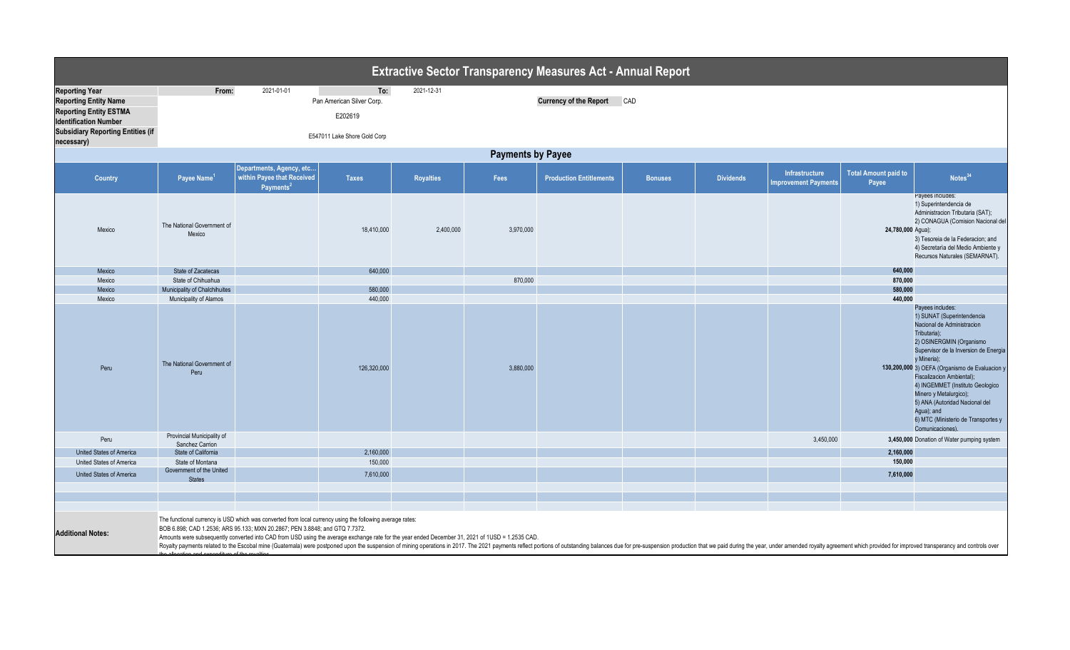|                                                                                                                                                                                  |                                                              |                                                                                                                                                                                                                                                                                                                                              |                                                                             |                  |                          | <b>Extractive Sector Transparency Measures Act - Annual Report</b> |                |                  |                                               |                                      |                                                                                                                                                                                                                                                                                                                                                                                                                                          |
|----------------------------------------------------------------------------------------------------------------------------------------------------------------------------------|--------------------------------------------------------------|----------------------------------------------------------------------------------------------------------------------------------------------------------------------------------------------------------------------------------------------------------------------------------------------------------------------------------------------|-----------------------------------------------------------------------------|------------------|--------------------------|--------------------------------------------------------------------|----------------|------------------|-----------------------------------------------|--------------------------------------|------------------------------------------------------------------------------------------------------------------------------------------------------------------------------------------------------------------------------------------------------------------------------------------------------------------------------------------------------------------------------------------------------------------------------------------|
| <b>Reporting Year</b><br><b>Reporting Entity Name</b><br><b>Reporting Entity ESTMA</b><br><b>Identification Number</b><br><b>Subsidiary Reporting Entities (if</b><br>necessary) | From:                                                        | 2021-01-01                                                                                                                                                                                                                                                                                                                                   | To:<br>Pan American Silver Corp.<br>E202619<br>E547011 Lake Shore Gold Corp | 2021-12-31       |                          | <b>Currency of the Report</b>                                      | CAD            |                  |                                               |                                      |                                                                                                                                                                                                                                                                                                                                                                                                                                          |
|                                                                                                                                                                                  |                                                              |                                                                                                                                                                                                                                                                                                                                              |                                                                             |                  | <b>Payments by Payee</b> |                                                                    |                |                  |                                               |                                      |                                                                                                                                                                                                                                                                                                                                                                                                                                          |
| Country                                                                                                                                                                          | Payee Name <sup>1</sup>                                      | Departments, Agency, etc<br>within Payee that Received<br>Payments <sup>2</sup>                                                                                                                                                                                                                                                              | <b>Taxes</b>                                                                | <b>Royalties</b> | Fees                     | <b>Production Entitlements</b>                                     | <b>Bonuses</b> | <b>Dividends</b> | Infrastructure<br><b>Improvement Payments</b> | <b>Total Amount paid to</b><br>Payee | Notes <sup>34</sup>                                                                                                                                                                                                                                                                                                                                                                                                                      |
| Mexico                                                                                                                                                                           | The National Government of<br>Mexico                         |                                                                                                                                                                                                                                                                                                                                              | 18,410,000                                                                  | 2,400,000        | 3,970,000                |                                                                    |                |                  |                                               | 24,780,000 Agua);                    | Payees includes:<br>1) Superintendencia de<br>Administracion Tributaria (SAT);<br>2) CONAGUA (Comision Nacional del<br>3) Tesoreia de la Federacion; and<br>4) Secretaria del Medio Ambiente y<br>Recursos Naturales (SEMARNAT).                                                                                                                                                                                                         |
| Mexico                                                                                                                                                                           | State of Zacatecas                                           |                                                                                                                                                                                                                                                                                                                                              | 640,000                                                                     |                  |                          |                                                                    |                |                  |                                               | 640,000                              |                                                                                                                                                                                                                                                                                                                                                                                                                                          |
| Mexico                                                                                                                                                                           | State of Chihuahua                                           |                                                                                                                                                                                                                                                                                                                                              |                                                                             |                  | 870,000                  |                                                                    |                |                  |                                               | 870,000                              |                                                                                                                                                                                                                                                                                                                                                                                                                                          |
| Mexico                                                                                                                                                                           | Municipality of Chalchihuites                                |                                                                                                                                                                                                                                                                                                                                              | 580,000                                                                     |                  |                          |                                                                    |                |                  |                                               | 580,000                              |                                                                                                                                                                                                                                                                                                                                                                                                                                          |
| Mexico<br>Peru                                                                                                                                                                   | Municipality of Alamos<br>The National Government of<br>Peru |                                                                                                                                                                                                                                                                                                                                              | 440,000<br>126,320,000                                                      |                  | 3,880,000                |                                                                    |                |                  |                                               | 440,000                              | Payees includes:<br>1) SUNAT (Superintendencia<br>Nacional de Administracion<br>Tributaria);<br>2) OSINERGMIN (Organismo<br>Supervisor de la Inversion de Energia<br>y Mineria);<br>130,200,000 3) OEFA (Organismo de Evaluacion y<br>Fiscalizacion Ambiental);<br>4) INGEMMET (Instituto Geologico<br>Minero y Metalurgico);<br>5) ANA (Autoridad Nacional del<br>Agua); and<br>6) MTC (Ministerio de Transportes y<br>Comunicaciones). |
| Peru                                                                                                                                                                             | Provincial Municipality of<br>Sanchez Carrion                |                                                                                                                                                                                                                                                                                                                                              |                                                                             |                  |                          |                                                                    |                |                  | 3,450,000                                     |                                      | 3,450,000 Donation of Water pumping system                                                                                                                                                                                                                                                                                                                                                                                               |
| United States of America                                                                                                                                                         | State of California                                          |                                                                                                                                                                                                                                                                                                                                              | 2,160,000                                                                   |                  |                          |                                                                    |                |                  |                                               | 2,160,000                            |                                                                                                                                                                                                                                                                                                                                                                                                                                          |
| United States of America                                                                                                                                                         | State of Montana                                             |                                                                                                                                                                                                                                                                                                                                              | 150,000                                                                     |                  |                          |                                                                    |                |                  |                                               | 150,000                              |                                                                                                                                                                                                                                                                                                                                                                                                                                          |
| United States of America                                                                                                                                                         | Government of the United<br><b>States</b>                    |                                                                                                                                                                                                                                                                                                                                              | 7,610,000                                                                   |                  |                          |                                                                    |                |                  |                                               | 7,610,000                            |                                                                                                                                                                                                                                                                                                                                                                                                                                          |
|                                                                                                                                                                                  |                                                              |                                                                                                                                                                                                                                                                                                                                              |                                                                             |                  |                          |                                                                    |                |                  |                                               |                                      |                                                                                                                                                                                                                                                                                                                                                                                                                                          |
|                                                                                                                                                                                  |                                                              |                                                                                                                                                                                                                                                                                                                                              |                                                                             |                  |                          |                                                                    |                |                  |                                               |                                      |                                                                                                                                                                                                                                                                                                                                                                                                                                          |
|                                                                                                                                                                                  |                                                              |                                                                                                                                                                                                                                                                                                                                              |                                                                             |                  |                          |                                                                    |                |                  |                                               |                                      |                                                                                                                                                                                                                                                                                                                                                                                                                                          |
| <b>Additional Notes:</b>                                                                                                                                                         |                                                              | The functional currency is USD which was converted from local currency using the following average rates:<br>BOB 6.898; CAD 1.2536; ARS 95.133; MXN 20.2867; PEN 3.8848; and GTQ 7.7372.<br>Amounts were subsequently converted into CAD from USD using the average exchange rate for the year ended December 31, 2021 of 1USD = 1.2535 CAD. |                                                                             |                  |                          |                                                                    |                |                  |                                               |                                      | Royalty payments related to the Escobal mine (Guatemala) were postponed upon the suspension of mining operations in 2017. The 2021 payments reflect portions of outstanding balances due for pre-suspension production that we                                                                                                                                                                                                           |